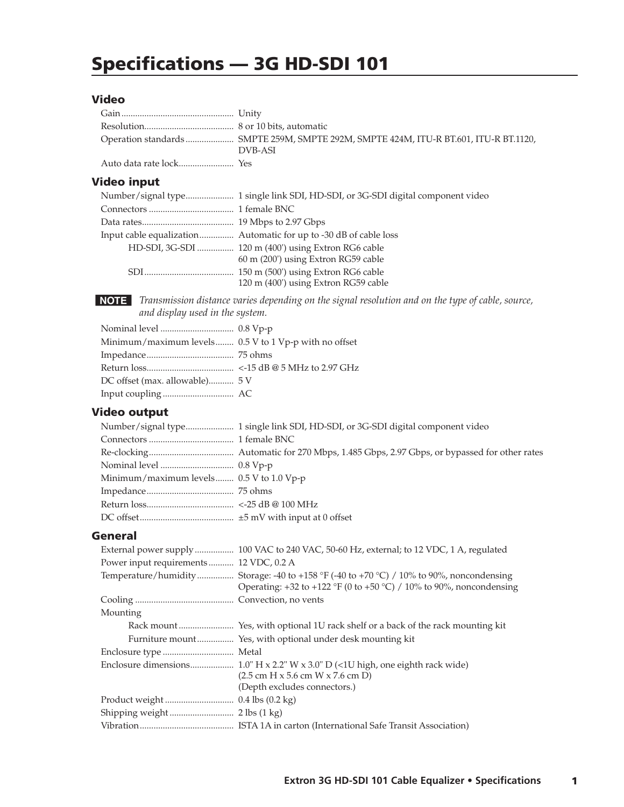# **Specifications - 3G HD-SDI 101**

#### **Video**

| Operation standards  SMPTE 259M, SMPTE 292M, SMPTE 424M, ITU-R BT.601, ITU-R BT.1120,<br>DVB-ASI |
|--------------------------------------------------------------------------------------------------|
|                                                                                                  |

## **Video input**

| HD-SDI, 3G-SDI  120 m (400') using Extron RG6 cable |
|-----------------------------------------------------|
| 60 m (200') using Extron RG59 cable                 |
|                                                     |
| 120 m (400') using Extron RG59 cable                |

NOTE Transmission distance varies depending on the signal resolution and on the type of cable, source, and display used in the system.

| Minimum/maximum levels $0.5 V$ to 1 Vp-p with no offset |  |
|---------------------------------------------------------|--|
|                                                         |  |
|                                                         |  |
| DC offset (max. allowable) 5 V                          |  |
|                                                         |  |

# **Video output**

| Minimum/maximum levels 0.5 V to 1.0 Vp-p |
|------------------------------------------|
|                                          |
|                                          |
|                                          |
|                                          |

### **General**

|                                        | External power supply  100 VAC to 240 VAC, 50-60 Hz, external; to 12 VDC, 1 A, regulated                                                                        |
|----------------------------------------|-----------------------------------------------------------------------------------------------------------------------------------------------------------------|
| Power input requirements 12 VDC, 0.2 A |                                                                                                                                                                 |
|                                        | Temperature/humidity Storage: -40 to +158 °F (-40 to +70 °C) / 10% to 90%, noncondensing<br>Operating: +32 to +122 °F (0 to +50 °C) / 10% to 90%, noncondensing |
|                                        |                                                                                                                                                                 |
| Mounting                               |                                                                                                                                                                 |
|                                        |                                                                                                                                                                 |
|                                        |                                                                                                                                                                 |
|                                        |                                                                                                                                                                 |
|                                        |                                                                                                                                                                 |
|                                        | $(2.5 \text{ cm H} \times 5.6 \text{ cm W} \times 7.6 \text{ cm D})$                                                                                            |
|                                        | (Depth excludes connectors.)                                                                                                                                    |
|                                        |                                                                                                                                                                 |
|                                        |                                                                                                                                                                 |
|                                        |                                                                                                                                                                 |